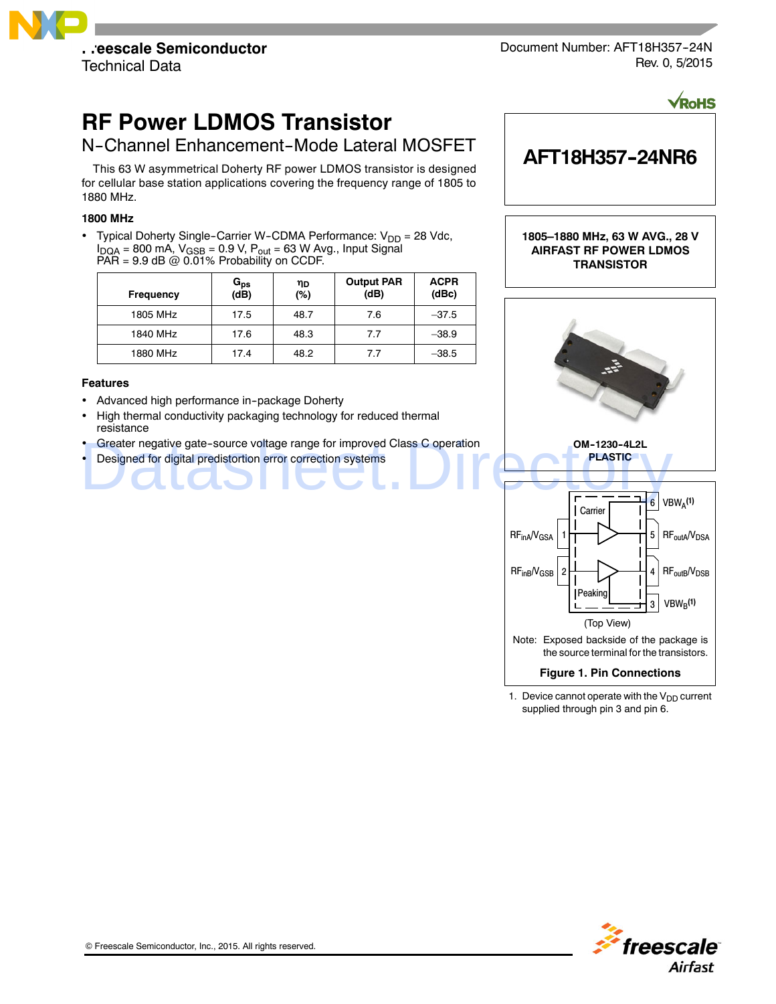

Document Number: AFT18H357-24N Rev. 0, 5/2015

**AFT18H357--24NR6**

**VRoHS** 

# **RF Power LDMOS Transistor**

# N-Channel Enhancement-Mode Lateral MOSFET

This 63 W asymmetrical Doherty RF power LDMOS transistor is designed for cellular base station applications covering the frequency range of 1805 to 1880 MHz.

# **1800 MHz**

• Typical Doherty Single-Carrier W-CDMA Performance:  $V_{DD} = 28$  Vdc,  $I_{DQA}$  = 800 mA,  $V_{GSB}$  = 0.9 V,  $P_{out}$  = 63 W Avg., Input Signal PAR =  $9.9$  dB @ 0.01% Probability on CCDF.

| Frequency | G <sub>ps</sub><br>(dB) | ηD<br>(%) | <b>Output PAR</b><br>(dB) | <b>ACPR</b><br>(dBc) |
|-----------|-------------------------|-----------|---------------------------|----------------------|
| 1805 MHz  | 17.5                    | 48.7      | 7.6                       | $-37.5$              |
| 1840 MHz  | 17.6                    | 48.3      | 7.7                       | $-38.9$              |
| 1880 MHz  | 17.4                    | 48.2      | 7.7                       | $-38.5$              |

#### **Features**

- Advanced high performance in--package Doherty
- High thermal conductivity packaging technology for reduced thermal resistance
- Greater negative gate--source voltage range for improved Class C operation
- Designed for digital predistortion error correction systems



# **Figure 1. Pin Connections**

1. Device cannot operate with the  $V_{DD}$  current supplied through pin 3 and pin 6.

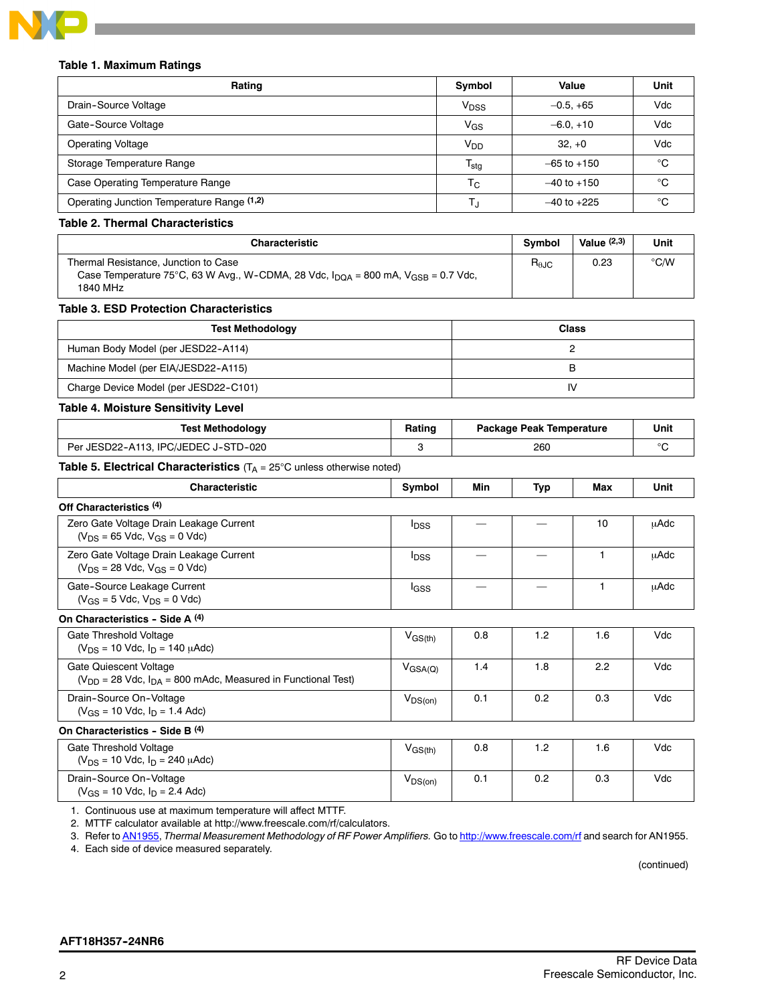

#### **Table 1. Maximum Ratings**

| Rating                                     | Symbol           | Value           | Unit |
|--------------------------------------------|------------------|-----------------|------|
| Drain-Source Voltage                       | V <sub>DSS</sub> | $-0.5, +65$     | Vdc  |
| Gate-Source Voltage                        | $V_{GS}$         | $-6.0, +10$     | Vdc  |
| <b>Operating Voltage</b>                   | V <sub>DD</sub>  | $32. +0$        | Vdc  |
| Storage Temperature Range                  | $T_{\text{stg}}$ | $-65$ to $+150$ | °C   |
| Case Operating Temperature Range           | $T_{\rm C}$      | $-40$ to $+150$ | °C   |
| Operating Junction Temperature Range (1,2) |                  | $-40$ to $+225$ | °∩   |

#### **Table 2. Thermal Characteristics**

| <b>Characteristic</b>                                                                                                                                        | <b>Symbol</b>          | Value $(2,3)$ | Unit |
|--------------------------------------------------------------------------------------------------------------------------------------------------------------|------------------------|---------------|------|
| Thermal Resistance, Junction to Case<br>Case Temperature 75°C, 63 W Avg., W-CDMA, 28 Vdc, $I_{\text{DQA}}$ = 800 mA, $V_{\text{GSB}}$ = 0.7 Vdc,<br>1840 MHz | $R_{\theta \text{JC}}$ | 0.23          | °C/W |

#### **Table 3. ESD Protection Characteristics**

| <b>Test Methodology</b>               | <b>Class</b> |
|---------------------------------------|--------------|
| Human Body Model (per JESD22-A114)    |              |
| Machine Model (per EIA/JESD22-A115)   |              |
| Charge Device Model (per JESD22-C101) | I٧           |

#### **Table 4. Moisture Sensitivity Level**

| Test Methodology                     | Rating | Package Peak Temperature | Unit   |
|--------------------------------------|--------|--------------------------|--------|
| Per JESD22-A113. IPC/JEDEC J-STD-020 |        | 260                      | $\sim$ |

# **Table 5. Electrical Characteristics** (T<sub>A</sub> = 25°C unless otherwise noted)

| <b>Characteristic</b>                                                                           | Symbol                  | Min | Typ | Max | Unit |
|-------------------------------------------------------------------------------------------------|-------------------------|-----|-----|-----|------|
| Off Characteristics <sup>(4)</sup>                                                              |                         |     |     |     |      |
| Zero Gate Voltage Drain Leakage Current<br>$(V_{DS} = 65$ Vdc, $V_{GS} = 0$ Vdc)                | <b>I</b> <sub>DSS</sub> |     |     | 10  | μAdc |
| Zero Gate Voltage Drain Leakage Current<br>$(V_{DS} = 28$ Vdc, $V_{GS} = 0$ Vdc)                | <b>I</b> <sub>DSS</sub> |     |     | 1   | μAdc |
| Gate-Source Leakage Current<br>$(V_{GS} = 5$ Vdc, $V_{DS} = 0$ Vdc)                             | lgss                    |     |     | 1   | μAdc |
| On Characteristics - Side A (4)                                                                 |                         |     |     |     |      |
| Gate Threshold Voltage<br>$(V_{DS} = 10$ Vdc, $I_D = 140$ $\mu$ Adc)                            | $V_{GS(th)}$            | 0.8 | 1.2 | 1.6 | Vdc  |
| Gate Quiescent Voltage<br>$(V_{DD} = 28$ Vdc, $I_{DA} = 800$ mAdc, Measured in Functional Test) | $V_{\text{GSA(Q)}}$     | 1.4 | 1.8 | 2.2 | Vdc  |
| Drain-Source On-Voltage<br>$(V_{GS} = 10$ Vdc, $I_D = 1.4$ Adc)                                 | $V_{DS(on)}$            | 0.1 | 0.2 | 0.3 | Vdc  |
| On Characteristics - Side B (4)                                                                 |                         |     |     |     |      |
| Gate Threshold Voltage<br>$(V_{DS} = 10$ Vdc, $I_D = 240$ $\mu$ Adc)                            | $V_{GS(th)}$            | 0.8 | 1.2 | 1.6 | Vdc  |
| Drain-Source On-Voltage<br>$(V_{GS} = 10$ Vdc, $I_D = 2.4$ Adc)                                 | $V_{DS(on)}$            | 0.1 | 0.2 | 0.3 | Vdc  |

1. Continuous use at maximum temperature will affect MTTF.

2. MTTF calculator available at http://www.freescale.com/rf/calculators.

3. Refer to AN1955, *Thermal Measurement Methodology of RF Power Amplifiers.* Go to http://www.freescale.com/rf and search for AN1955.

4. Each side of device measured separately.

(continued)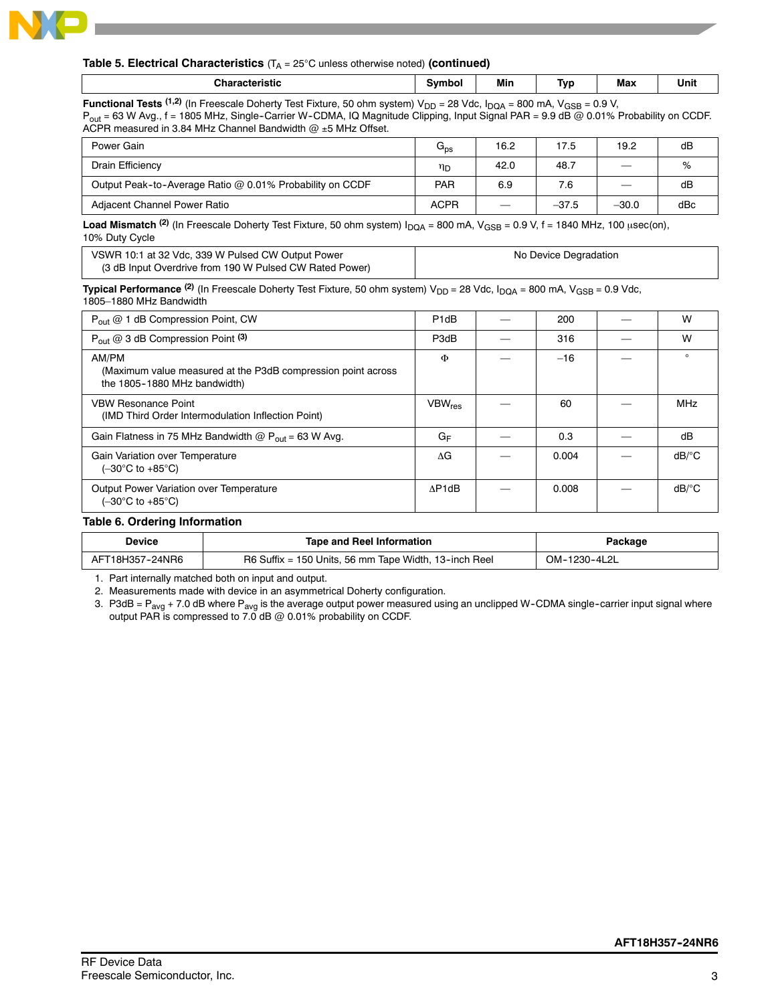

#### **Table 5. Electrical Characteristics**  $(T_A = 25^{\circ}C$  unless otherwise noted) (continued)

| <b>cteristic</b>     | vmhol | Min | $\overline{\phantom{a}}$<br>Tvo<br>. . | Max | Unit |
|----------------------|-------|-----|----------------------------------------|-----|------|
| $\sim$ $\sim$ $\sim$ |       |     |                                        |     |      |

**Functional Tests**  $(1,2)$  (In Freescale Doherty Test Fixture, 50 ohm system)  $V_{DD} = 28$  Vdc,  $I_{DQA} = 800$  mA,  $V_{GSB} = 0.9$  V, P<sub>out</sub> = 63 W Avg., f = 1805 MHz, Single-Carrier W-CDMA, IQ Magnitude Clipping, Input Signal PAR = 9.9 dB @ 0.01% Probability on CCDF. ACPR measured in 3.84 MHz Channel Bandwidth  $@$  ±5 MHz Offset.

| Power Gain                                               | $G_{DS}$    | 16.2 | 17.5    | 19.2                           | dB  |
|----------------------------------------------------------|-------------|------|---------|--------------------------------|-----|
| Drain Efficiency                                         | חוי         | 42.0 | 48.7    | $\qquad \qquad \longleftarrow$ | %   |
| Output Peak-to-Average Ratio @ 0.01% Probability on CCDF | PAR         | 6.9  | 7.6     | $\sim$                         | dB  |
| Adiacent Channel Power Ratio                             | <b>ACPR</b> |      | $-37.5$ | $-30.0$                        | dBc |

**Load Mismatch** <sup>(2)</sup> (In Freescale Doherty Test Fixture, 50 ohm system)  $I_{\text{DOA}} = 800$  mA,  $V_{\text{GSB}} = 0.9$  V, f = 1840 MHz, 100  $\mu$ sec(on), 10% Duty Cycle

| VSWR 10:1 at 32 Vdc, 339 W Pulsed CW Output Power       | No Device Degradation |
|---------------------------------------------------------|-----------------------|
| (3 dB Input Overdrive from 190 W Pulsed CW Rated Power) |                       |

**Typical Performance** <sup>(2)</sup> (In Freescale Doherty Test Fixture, 50 ohm system) V<sub>DD</sub> = 28 Vdc, I<sub>DQA</sub> = 800 mA, V<sub>GSB</sub> = 0.9 Vdc, 1805–1880 MHz Bandwidth

| $P_{\text{out}} @ 1$ dB Compression Point, CW                                                         | P <sub>1</sub> dB         | 200   | W                     |
|-------------------------------------------------------------------------------------------------------|---------------------------|-------|-----------------------|
| $P_{\text{out}}$ @ 3 dB Compression Point (3)                                                         | P3dB                      | 316   | W                     |
| AM/PM<br>(Maximum value measured at the P3dB compression point across<br>the 1805-1880 MHz bandwidth) | Φ                         | $-16$ | $\Omega$              |
| <b>VBW Resonance Point</b><br>(IMD Third Order Intermodulation Inflection Point)                      | <b>VBW</b> <sub>res</sub> | 60    | <b>MHz</b>            |
| Gain Flatness in 75 MHz Bandwidth $@P_{out} = 63$ W Avg.                                              | $G_F$                     | 0.3   | dB                    |
| Gain Variation over Temperature<br>$(-30^{\circ}$ C to $+85^{\circ}$ C)                               | ٨G                        | 0.004 | $dB$ <sup>o</sup> $C$ |
| Output Power Variation over Temperature<br>$(-30^{\circ}$ C to $+85^{\circ}$ C)                       | AP1dB                     | 0.008 | $dB$ <sup>o</sup> $C$ |

#### **Table 6. Ordering Information**

| Device          | Tape and Reel Information                             | Packaqe      |
|-----------------|-------------------------------------------------------|--------------|
| AFT18H357-24NR6 | R6 Suffix = 150 Units, 56 mm Tape Width, 13-inch Reel | OM-1230-4L2L |

1. Part internally matched both on input and output.

2. Measurements made with device in an asymmetrical Doherty configuration.

3. P3dB =  $P_{avg}$  + 7.0 dB where  $P_{avg}$  is the average output power measured using an unclipped W-CDMA single-carrier input signal where output PAR is compressed to 7.0 dB @ 0.01% probability on CCDF.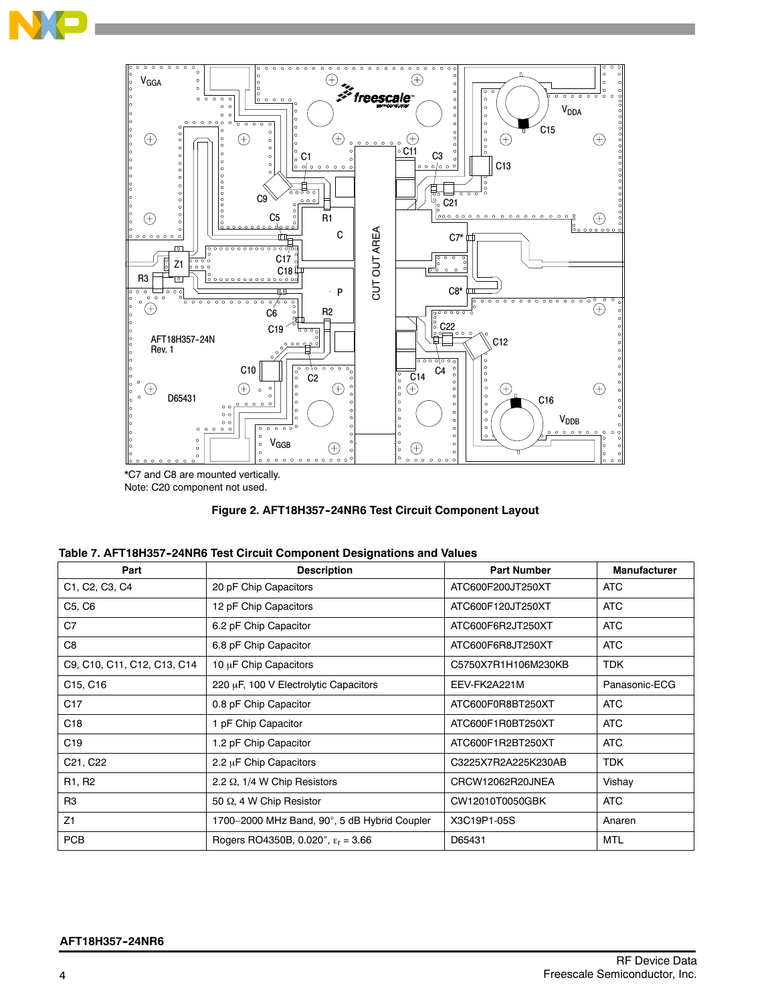



<sup>\*</sup>C7 and C8 are mounted vertically. Note: C20 component not used.



| Part                              | <b>Description</b>                            | <b>Part Number</b>  | <b>Manufacturer</b> |
|-----------------------------------|-----------------------------------------------|---------------------|---------------------|
| C1, C2, C3, C4                    | 20 pF Chip Capacitors                         | ATC600F200JT250XT   | <b>ATC</b>          |
| C5, C6                            | 12 pF Chip Capacitors                         | ATC600F120JT250XT   | <b>ATC</b>          |
| C7                                | 6.2 pF Chip Capacitor                         | ATC600F6R2JT250XT   | <b>ATC</b>          |
| C <sub>8</sub>                    | 6.8 pF Chip Capacitor                         | ATC600F6R8JT250XT   | <b>ATC</b>          |
| C9, C10, C11, C12, C13, C14       | 10 µF Chip Capacitors                         | C5750X7R1H106M230KB | <b>TDK</b>          |
| C <sub>15</sub> , C <sub>16</sub> | 220 µF, 100 V Electrolytic Capacitors         | EEV-FK2A221M        | Panasonic-ECG       |
| C <sub>17</sub>                   | 0.8 pF Chip Capacitor                         | ATC600F0R8BT250XT   | <b>ATC</b>          |
| C <sub>18</sub>                   | 1 pF Chip Capacitor                           | ATC600F1R0BT250XT   | <b>ATC</b>          |
| C <sub>19</sub>                   | 1.2 pF Chip Capacitor                         | ATC600F1R2BT250XT   | <b>ATC</b>          |
| C <sub>21</sub> , C <sub>22</sub> | 2.2 $\mu$ F Chip Capacitors                   | C3225X7R2A225K230AB | <b>TDK</b>          |
| R <sub>1</sub> , R <sub>2</sub>   | 2.2 $\Omega$ , 1/4 W Chip Resistors           | CRCW12062R20JNEA    | Vishay              |
| R <sub>3</sub>                    | 50 Q, 4 W Chip Resistor                       | CW12010T0050GBK     | <b>ATC</b>          |
| Z1                                | 1700-2000 MHz Band, 90°, 5 dB Hybrid Coupler  | X3C19P1-05S         | Anaren              |
| <b>PCB</b>                        | Rogers RO4350B, 0.020", $\epsilon_{r}$ = 3.66 | D65431              | <b>MTL</b>          |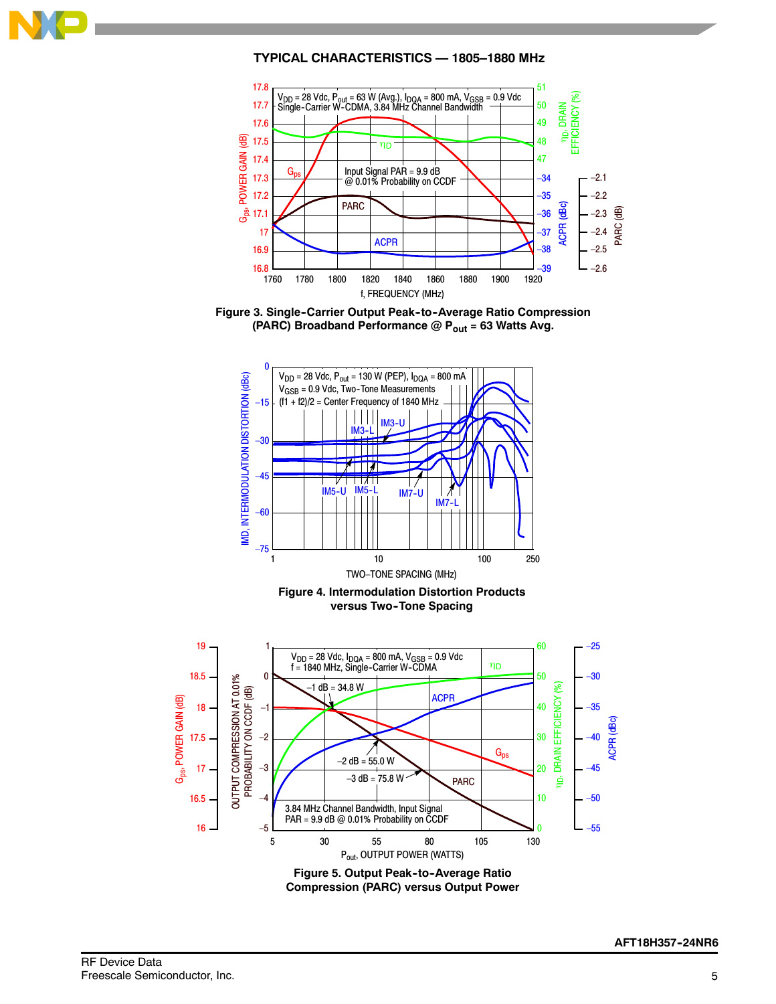

# **TYPICAL CHARACTERISTICS — 1805–1880 MHz**







**Figure 5. Output Peak-to-Average Ratio Compression (PARC) versus Output Power**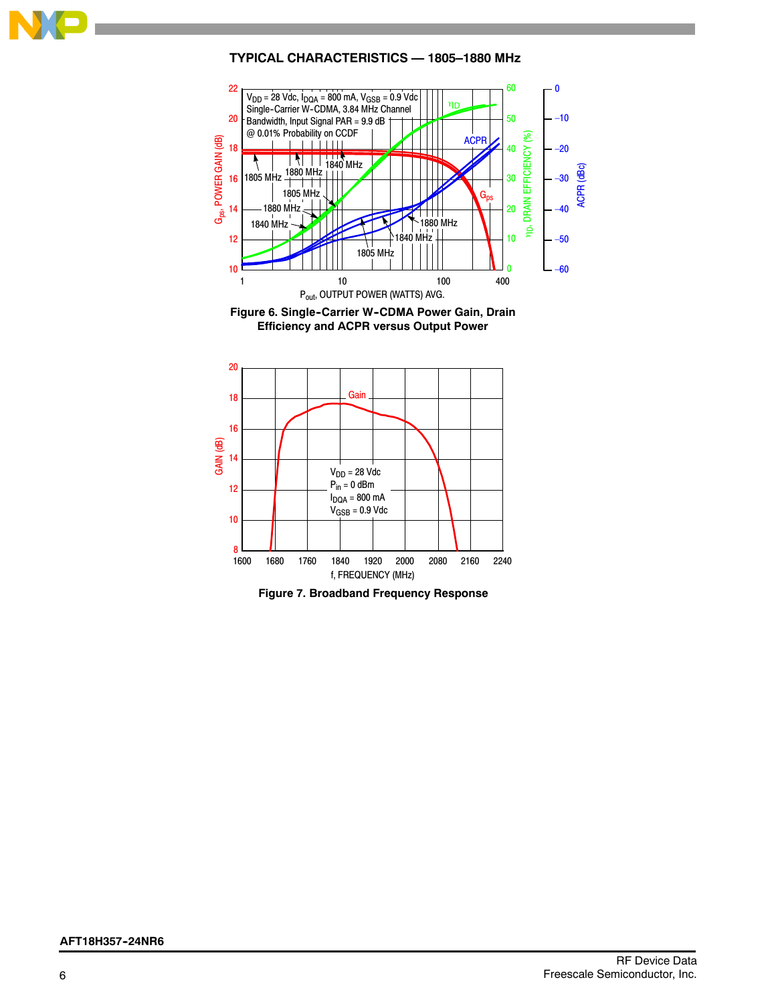

# **TYPICAL CHARACTERISTICS — 1805–1880 MHz**



Figure 6. Single-Carrier W-CDMA Power Gain, Drain **Efficiency and ACPR versus Output Power**



**Figure 7. Broadband Frequency Response**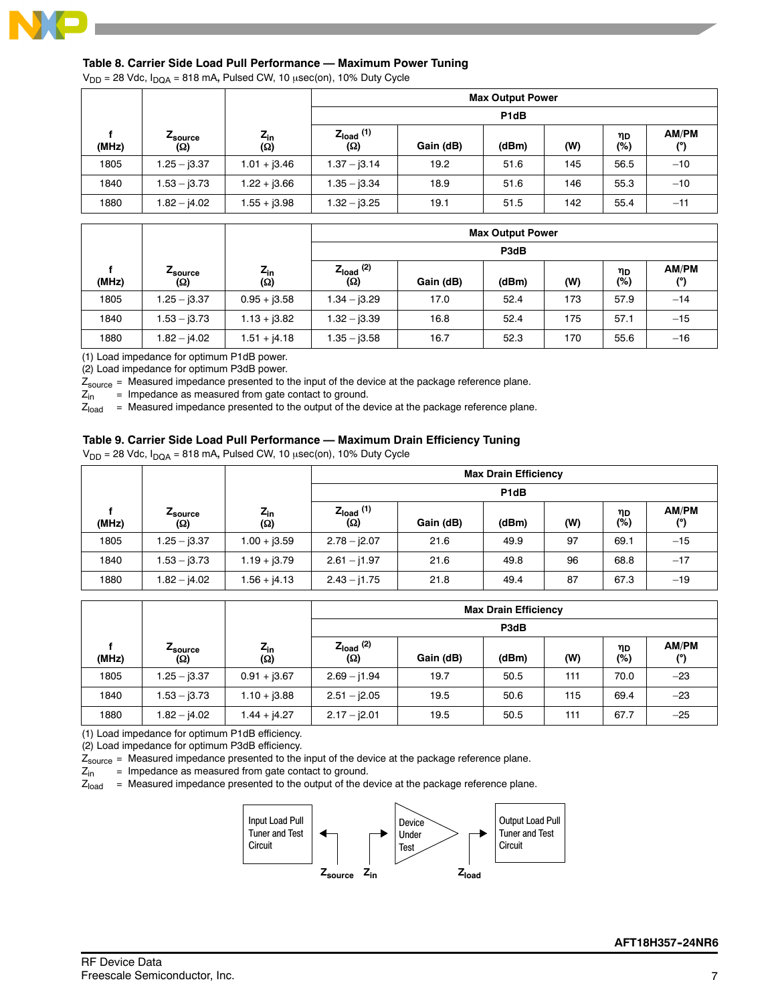

# **Table 8. Carrier Side Load Pull Performance — Maximum Power Tuning**

 $V_{DD}$  = 28 Vdc,  $I_{DQA}$  = 818 mA, Pulsed CW, 10  $\mu$ sec(on), 10% Duty Cycle

|       |                        |                        | <b>Max Output Power</b>      |                   |       |     |           |              |  |  |
|-------|------------------------|------------------------|------------------------------|-------------------|-------|-----|-----------|--------------|--|--|
|       |                        |                        |                              | P <sub>1</sub> dB |       |     |           |              |  |  |
| (MHz) | <b>L</b> source<br>(Ω) | $Z_{\text{in}}$<br>(Ω) | $Z_{load}$ (1)<br><b>(Ω)</b> | Gain (dB)         | (dBm) | (W) | ηD<br>(%) | AM/PM<br>(°) |  |  |
| 1805  | $1.25 - j3.37$         | $1.01 + j3.46$         | $1.37 - j3.14$               | 19.2              | 51.6  | 145 | 56.5      | $-10$        |  |  |
| 1840  | $1.53 - j3.73$         | $1.22 + j3.66$         | $1.35 - j3.34$               | 18.9              | 51.6  | 146 | 55.3      | $-10$        |  |  |
| 1880  | $1.82 - j4.02$         | $1.55 + j3.98$         | $1.32 - j3.25$               | 19.1              | 51.5  | 142 | 55.4      | $-11$        |  |  |

|       |                        |                                          |                       |           | <b>Max Output Power</b> |     |           |              |  |  |
|-------|------------------------|------------------------------------------|-----------------------|-----------|-------------------------|-----|-----------|--------------|--|--|
|       |                        |                                          |                       | P3dB      |                         |     |           |              |  |  |
| (MHz) | <i>L</i> source<br>(Q) | $Z_{\text{in}}$<br>$\overline{(\Omega)}$ | $Z_{load}$ (2)<br>(Ω) | Gain (dB) | (dBm)                   | (W) | ηD<br>(%) | AM/PM<br>(°) |  |  |
| 1805  | $1.25 - j3.37$         | $0.95 + j3.58$                           | $1.34 - j3.29$        | 17.0      | 52.4                    | 173 | 57.9      | $-14$        |  |  |
| 1840  | $1.53 - j3.73$         | $1.13 + j3.82$                           | $1.32 - j3.39$        | 16.8      | 52.4                    | 175 | 57.1      | $-15$        |  |  |
| 1880  | $1.82 - j4.02$         | $1.51 + j4.18$                           | $1.35 - j3.58$        | 16.7      | 52.3                    | 170 | 55.6      | $-16$        |  |  |

(1) Load impedance for optimum P1dB power.

(2) Load impedance for optimum P3dB power.

 $Z_{source}$  = Measured impedance presented to the input of the device at the package reference plane.<br> $Z_{in}$  = Impedance as measured from gate contact to ground.

 $Z_{\text{in}}$  = Impedance as measured from gate contact to ground.<br> $Z_{\text{load}}$  = Measured impedance presented to the output of the d

= Measured impedance presented to the output of the device at the package reference plane.

#### **Table 9. Carrier Side Load Pull Performance — Maximum Drain Efficiency Tuning**

 $V_{DD}$  = 28 Vdc,  $I_{DQA}$  = 818 mA, Pulsed CW, 10  $\mu$ sec(on), 10% Duty Cycle

|       |                |                 | <b>Max Drain Efficiency</b>  |                   |       |     |           |              |  |
|-------|----------------|-----------------|------------------------------|-------------------|-------|-----|-----------|--------------|--|
|       |                |                 |                              | P <sub>1d</sub> B |       |     |           |              |  |
| (MHz) | Zsource<br>(Ω) | $Z_{in}$<br>(Ω) | $Z_{load}$ (1)<br><b>(Ω)</b> | Gain (dB)         | (dBm) | (W) | ηD<br>(%) | AM/PM<br>(°) |  |
| 1805  | $1.25 - j3.37$ | $1.00 + j3.59$  | $2.78 - j2.07$               | 21.6              | 49.9  | 97  | 69.1      | $-15$        |  |
| 1840  | $1.53 - j3.73$ | $1.19 + j3.79$  | $2.61 - j1.97$               | 21.6              | 49.8  | 96  | 68.8      | $-17$        |  |
| 1880  | $1.82 - j4.02$ | $1.56 + j4.13$  | $2.43 - j1.75$               | 21.8              | 49.4  | 87  | 67.3      | $-19$        |  |

|       |                                   |                        | <b>Max Drain Efficiency</b>  |           |       |     |           |              |  |  |
|-------|-----------------------------------|------------------------|------------------------------|-----------|-------|-----|-----------|--------------|--|--|
|       |                                   |                        |                              | P3dB      |       |     |           |              |  |  |
| (MHz) | ∠ <sub>source</sub><br><b>(Ω)</b> | $Z_{in}$<br><b>(Ω)</b> | $Z_{load}$ (2)<br><b>(Ω)</b> | Gain (dB) | (dBm) | (W) | ηD<br>(%) | AM/PM<br>(°) |  |  |
| 1805  | $1.25 - j3.37$                    | $0.91 + j3.67$         | $2.69 - j1.94$               | 19.7      | 50.5  | 111 | 70.0      | $-23$        |  |  |
| 1840  | $1.53 - j3.73$                    | $1.10 + j3.88$         | $2.51 - j2.05$               | 19.5      | 50.6  | 115 | 69.4      | $-23$        |  |  |
| 1880  | $1.82 - j4.02$                    | $1.44 + j4.27$         | $2.17 - j2.01$               | 19.5      | 50.5  | 111 | 67.7      | $-25$        |  |  |

(1) Load impedance for optimum P1dB efficiency.

(2) Load impedance for optimum P3dB efficiency.

 $Z_{source}$  = Measured impedance presented to the input of the device at the package reference plane.<br> $Z_{in}$  = Impedance as measured from gate contact to ground.

 $Z_{\text{in}}$  = Impedance as measured from gate contact to ground.<br> $Z_{\text{load}}$  = Measured impedance presented to the output of the de

= Measured impedance presented to the output of the device at the package reference plane.

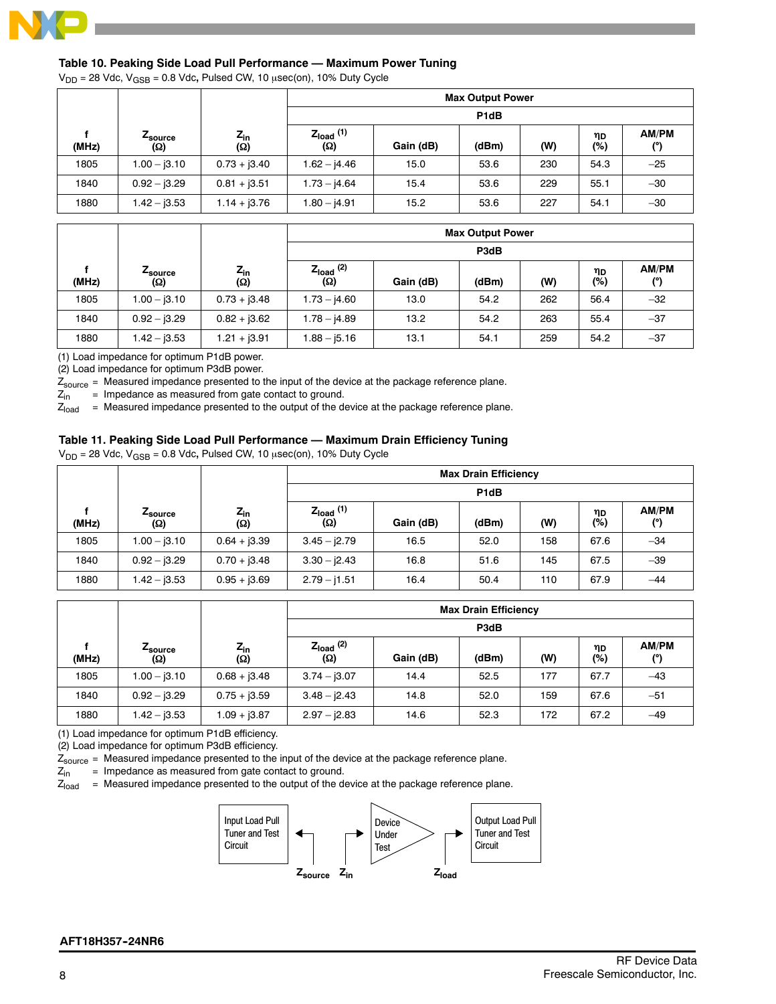

# **Table 10. Peaking Side Load Pull Performance — Maximum Power Tuning**

 $V_{DD}$  = 28 Vdc,  $V_{\text{GSB}}$  = 0.8 Vdc, Pulsed CW, 10  $\mu$ sec(on), 10% Duty Cycle

|       |                        |                                             |                              |                   | <b>Max Output Power</b> |     |             |                     |  |  |
|-------|------------------------|---------------------------------------------|------------------------------|-------------------|-------------------------|-----|-------------|---------------------|--|--|
|       |                        |                                             |                              | P <sub>1</sub> dB |                         |     |             |                     |  |  |
| (MHz) | <i>L</i> source<br>(Ω) | $\frac{Z_{\text{in}}}{\left(\Omega\right)}$ | $Z_{load}$ (1)<br><b>(Ω)</b> | Gain (dB)         | (dBm)                   | (W) | ηD<br>$(*)$ | AM/PM<br>$^{\circ}$ |  |  |
| 1805  | $1.00 - j3.10$         | $0.73 + j3.40$                              | $1.62 - j4.46$               | 15.0              | 53.6                    | 230 | 54.3        | $-25$               |  |  |
| 1840  | $0.92 - 3.29$          | $0.81 + j3.51$                              | $1.73 - j4.64$               | 15.4              | 53.6                    | 229 | 55.1        | $-30$               |  |  |
| 1880  | $1.42 - j3.53$         | $1.14 + j3.76$                              | $1.80 - j4.91$               | 15.2              | 53.6                    | 227 | 54.1        | $-30$               |  |  |

|       |                        |                        | <b>Max Output Power</b> |           |       |     |              |                     |  |  |  |
|-------|------------------------|------------------------|-------------------------|-----------|-------|-----|--------------|---------------------|--|--|--|
|       |                        |                        |                         | P3dB      |       |     |              |                     |  |  |  |
| (MHz) | <i>L</i> source<br>(ဂ) | $Z_{\text{in}}$<br>(Ω) | $Z_{load}$ (2)<br>(Ω)   | Gain (dB) | (dBm) | (W) | ηD<br>$(\%)$ | AM/PM<br>$^{\circ}$ |  |  |  |
| 1805  | $1.00 - j3.10$         | $0.73 + j3.48$         | $1.73 - j4.60$          | 13.0      | 54.2  | 262 | 56.4         | $-32$               |  |  |  |
| 1840  | $0.92 - j3.29$         | $0.82 + j3.62$         | $1.78 - j4.89$          | 13.2      | 54.2  | 263 | 55.4         | $-37$               |  |  |  |
| 1880  | $1.42 - j3.53$         | $1.21 + j3.91$         | $1.88 - j5.16$          | 13.1      | 54.1  | 259 | 54.2         | $-37$               |  |  |  |

(1) Load impedance for optimum P1dB power.

(2) Load impedance for optimum P3dB power.

 $Z_{\text{source}}$  = Measured impedance presented to the input of the device at the package reference plane.<br> $Z_{\text{in}}$  = Impedance as measured from gate contact to ground.

= Impedance as measured from gate contact to ground.

 $Z_{load}$  = Measured impedance presented to the output of the device at the package reference plane.

#### **Table 11. Peaking Side Load Pull Performance — Maximum Drain Efficiency Tuning**

V<sub>DD</sub> = 28 Vdc, V<sub>GSB</sub> = 0.8 Vdc, Pulsed CW, 10  $\mu$ sec(on), 10% Duty Cycle

|       |                |                          | <b>Max Drain Efficiency</b> |                   |       |     |           |              |  |  |
|-------|----------------|--------------------------|-----------------------------|-------------------|-------|-----|-----------|--------------|--|--|
|       |                |                          |                             | P <sub>1</sub> dB |       |     |           |              |  |  |
| (MHz) | Zsource<br>(Ω) | $Z_{\mathsf{in}}$<br>(Ω) | $Z_{load}$ (1)<br>(Ω)       | Gain (dB)         | (dBm) | (W) | ηD<br>(%) | AM/PM<br>(°) |  |  |
| 1805  | $1.00 - j3.10$ | $0.64 + 3.39$            | $3.45 - j2.79$              | 16.5              | 52.0  | 158 | 67.6      | $-34$        |  |  |
| 1840  | $0.92 - j3.29$ | $0.70 + j3.48$           | $3.30 - j2.43$              | 16.8              | 51.6  | 145 | 67.5      | $-39$        |  |  |
| 1880  | $1.42 - j3.53$ | $0.95 + j3.69$           | $2.79 - j1.51$              | 16.4              | 50.4  | 110 | 67.9      | $-44$        |  |  |

|       |                               |                 | <b>Max Drain Efficiency</b> |           |       |     |           |                     |  |  |
|-------|-------------------------------|-----------------|-----------------------------|-----------|-------|-----|-----------|---------------------|--|--|
|       |                               |                 |                             | P3dB      |       |     |           |                     |  |  |
| (MHz) | <b>L</b> source<br><b>(Ω)</b> | $Z_{in}$<br>(Ω) | $Z_{load}$ $(2)$<br>(Ω)     | Gain (dB) | (dBm) | (W) | ηD<br>(%) | <b>AM/PM</b><br>(°) |  |  |
| 1805  | $1.00 - j3.10$                | $0.68 + j3.48$  | $3.74 - j3.07$              | 14.4      | 52.5  | 177 | 67.7      | $-43$               |  |  |
| 1840  | $0.92 - 3.29$                 | $0.75 + j3.59$  | $3.48 - j2.43$              | 14.8      | 52.0  | 159 | 67.6      | $-51$               |  |  |
| 1880  | $1.42 - j3.53$                | $1.09 + j3.87$  | $2.97 - j2.83$              | 14.6      | 52.3  | 172 | 67.2      | $-49$               |  |  |

(1) Load impedance for optimum P1dB efficiency.

(2) Load impedance for optimum P3dB efficiency.

 $Z_{source}$  = Measured impedance presented to the input of the device at the package reference plane.<br> $Z_{in}$  = Impedance as measured from gate contact to ground.

 $Z_{\text{in}}$  = Impedance as measured from gate contact to ground.<br> $Z_{\text{inad}}$  = Measured impedance presented to the output of the de

= Measured impedance presented to the output of the device at the package reference plane.

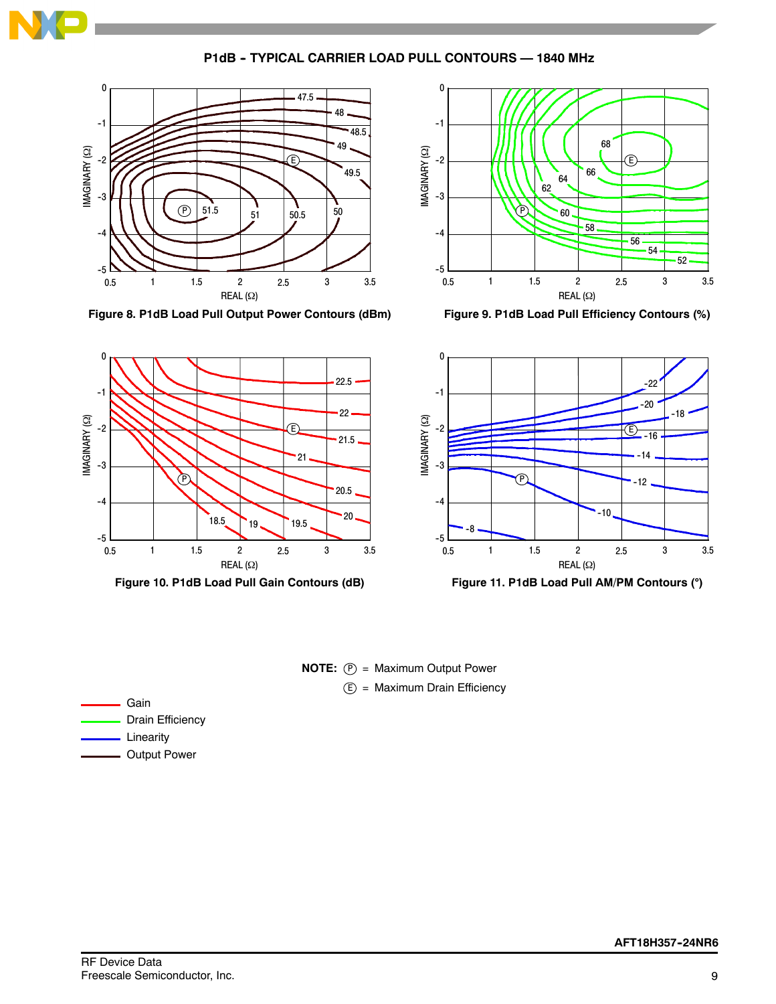

**P1dB - TYPICAL CARRIER LOAD PULL CONTOURS - 1840 MHz** 



**Figure 8. P1dB Load Pull Output Power Contours (dBm)**



**Figure 9. P1dB Load Pull Efficiency Contours (%)**



**Figure 11. P1dB Load Pull AM/PM Contours ()**

**NOTE:**  $(P) =$  Maximum Output Power E) = Maximum Drain Efficiency

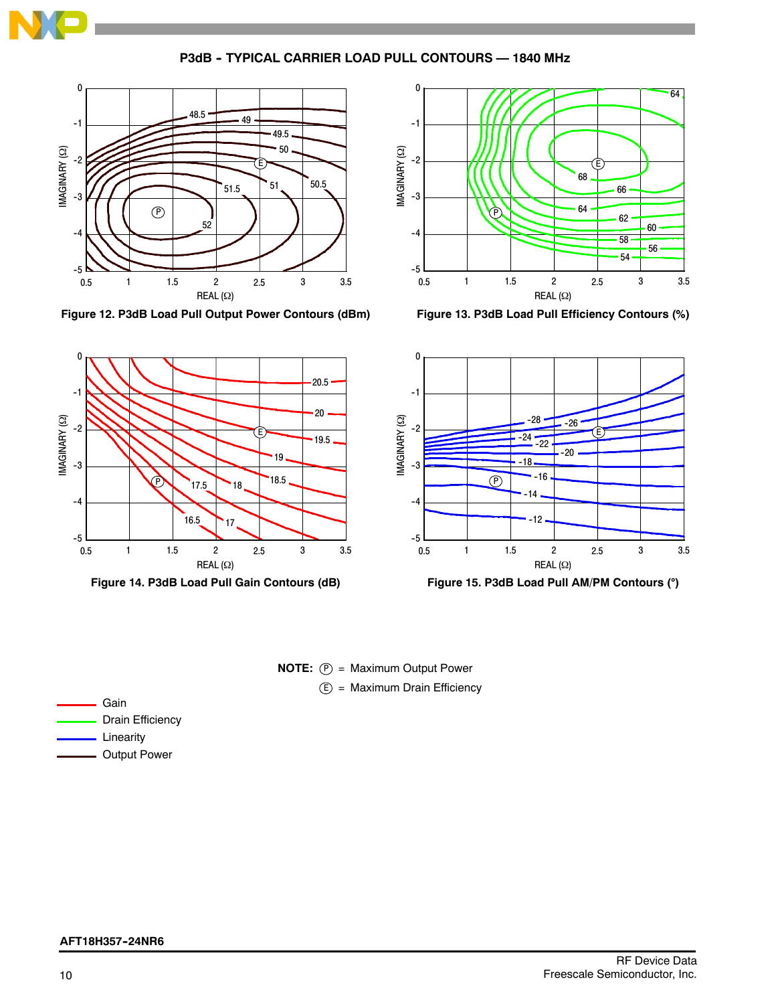

**P3dB -- TYPICAL CARRIER LOAD PULL CONTOURS — 1840 MHz**



**Figure 12. P3dB Load Pull Output Power Contours (dBm)**



**Figure 13. P3dB Load Pull Efficiency Contours (%)**



**Figure 14. P3dB Load Pull Gain Contours (dB)**





| Gain                    |
|-------------------------|
| <b>Drain Efficiency</b> |
| Linearity               |
| <b>Output Power</b>     |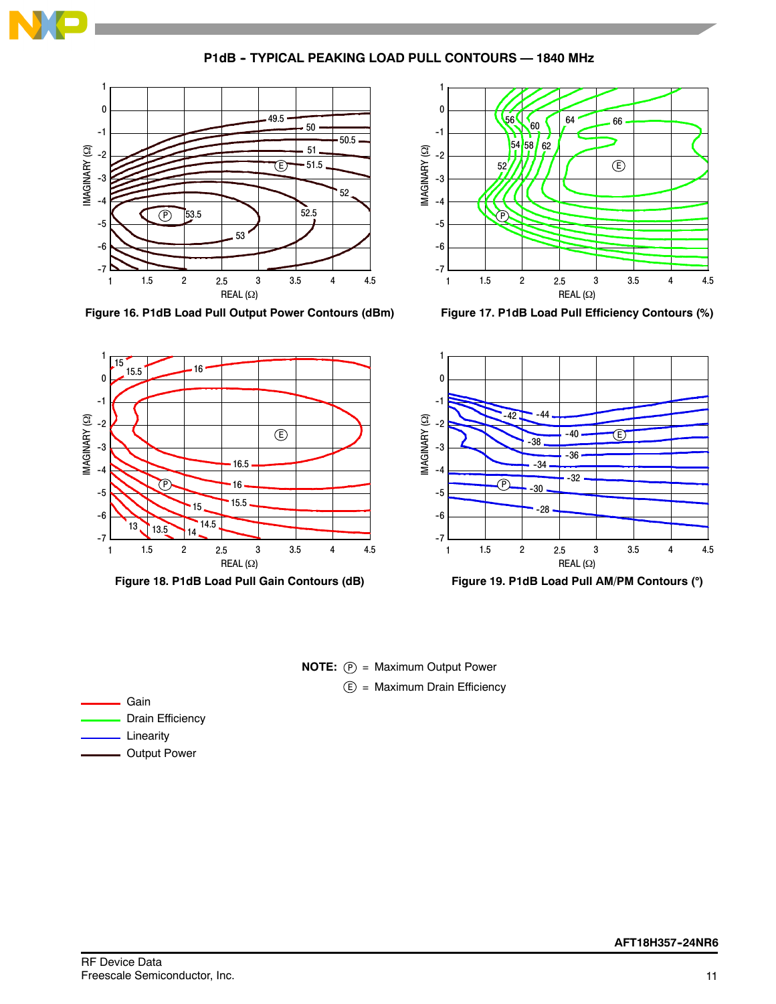

**P1dB - TYPICAL PEAKING LOAD PULL CONTOURS - 1840 MHz** 





**Figure 16. P1dB Load Pull Output Power Contours (dBm)**





**NOTE:**  $(P)$  = Maximum Output Power E) = Maximum Drain Efficiency

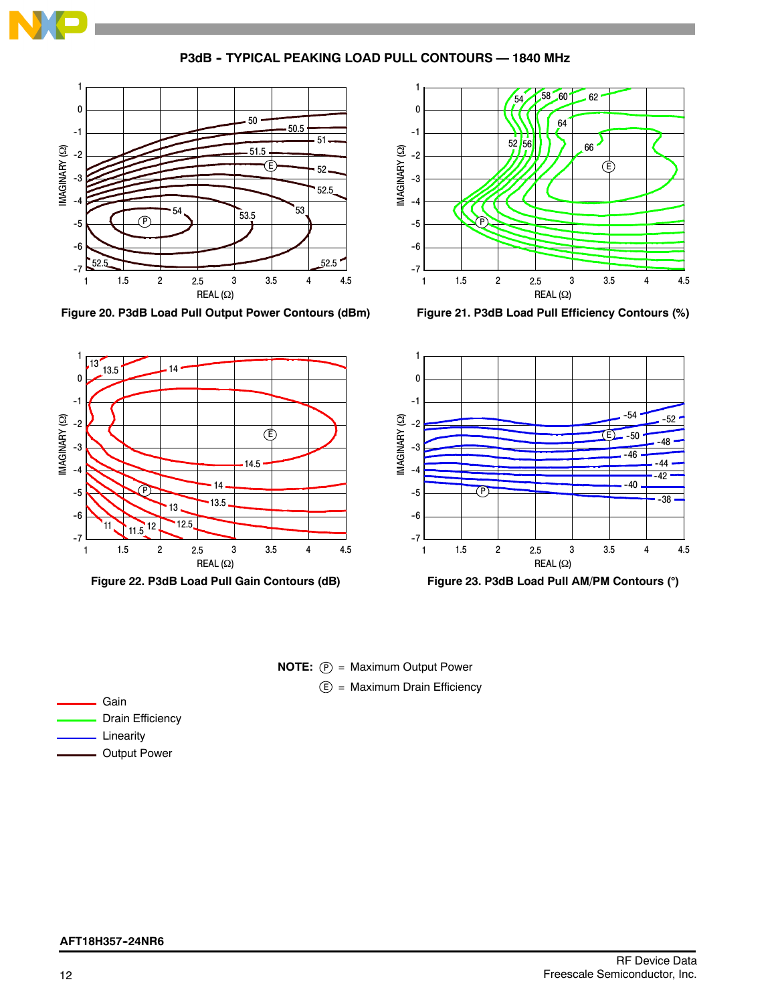

P3dB - TYPICAL PEAKING LOAD PULL CONTOURS - 1840 MHz



**Figure 20. P3dB Load Pull Output Power Contours (dBm)**



**Figure 21. P3dB Load Pull Efficiency Contours (%)**



# **NOTE:**  $(P)$  = Maximum Output Power E) = Maximum Drain Efficiency

Gain Drain Efficiency Linearity

Output Power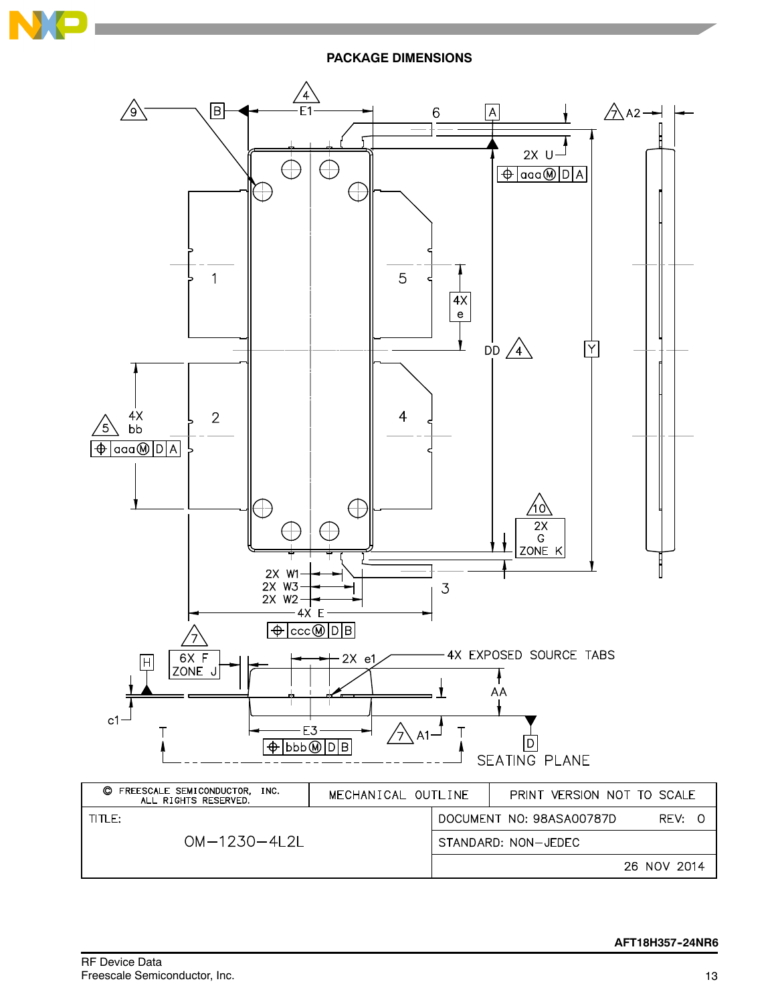

**PACKAGE DIMENSIONS**

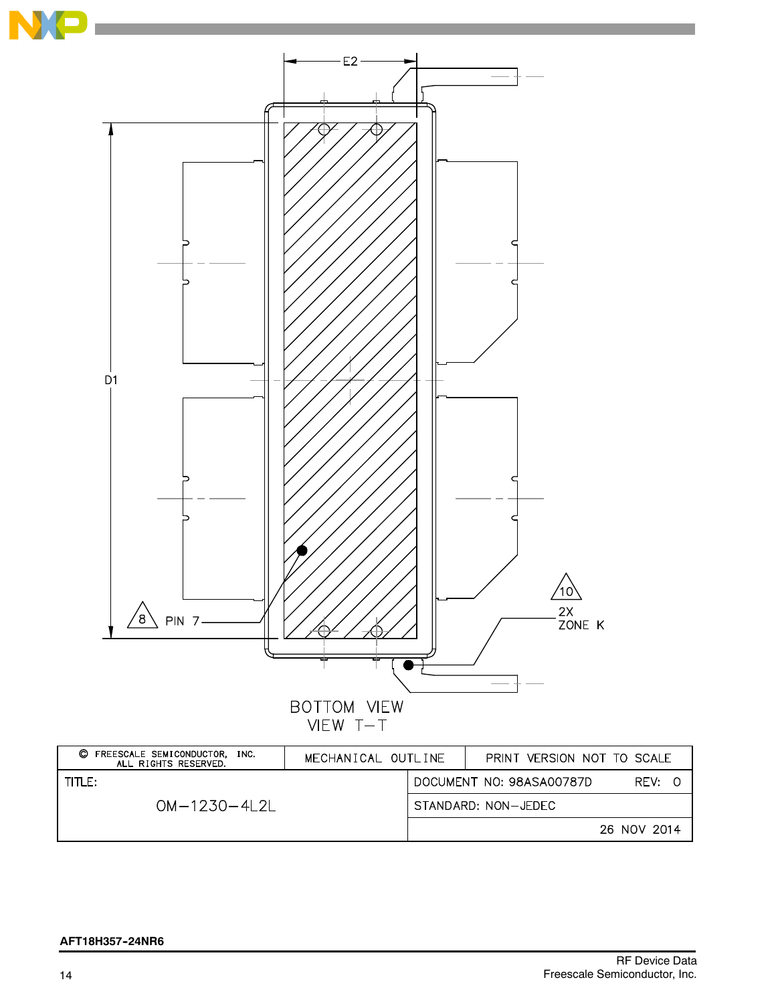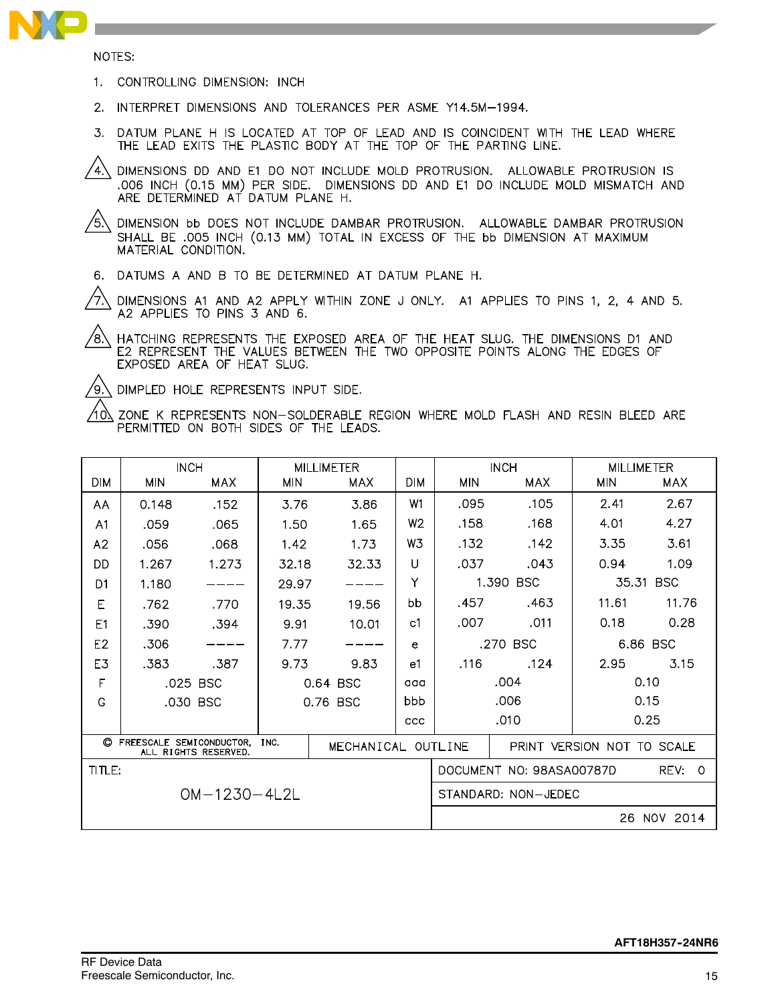

NOTES:

- 1. CONTROLLING DIMENSION: INCH
- 2. INTERPRET DIMENSIONS AND TOLERANCES PER ASME Y14.5M-1994.
- 3. DATUM PLANE H IS LOCATED AT TOP OF LEAD AND IS COINCIDENT WITH THE LEAD WHERE THE LEAD EXITS THE PLASTIC BODY AT THE TOP OF THE PARTING LINE.
- $\langle 4 \rangle$ DIMENSIONS DD AND E1 DO NOT INCLUDE MOLD PROTRUSION. ALLOWABLE PROTRUSION IS .006 INCH (0.15 MM) PER SIDE. DIMENSIONS DD AND E1 DO INCLUDE MOLD MISMATCH AND ARE DETERMINED AT DATUM PLANE H.

 $/$ 5.\ DIMENSION bb DOES NOT INCLUDE DAMBAR PROTRUSION. ALLOWABLE DAMBAR PROTRUSION SHALL BE .005 INCH (0.13 MM) TOTAL IN EXCESS OF THE bb DIMENSION AT MAXIMUM MATERIAL CONDITION.

6. DATUMS A AND B TO BE DETERMINED AT DATUM PLANE H.

7. DIMENSIONS A1 AND A2 APPLY WITHIN ZONE J ONLY. A1 APPLIES TO PINS 1, 2, 4 AND 5. A2 APPLIES TO PINS 3 AND 6.

 $/8\%$ HATCHING REPRESENTS THE EXPOSED AREA OF THE HEAT SLUG. THE DIMENSIONS D1 AND E2 REPRESENT THE VALUES BETWEEN THE TWO OPPOSITE POINTS ALONG THE EDGES OF EXPOSED AREA OF HEAT SLUG.

/9. DIMPLED HOLE REPRESENTS INPUT SIDE.

/10) ZONE K REPRESENTS NON-SOLDERABLE REGION WHERE MOLD FLASH AND RESIN BLEED ARE PERMITTED ON BOTH SIDES OF THE LEADS.

|                |                          | <b>INCH</b>          |            | <b>MILLIMETER</b>  |                | <b>INCH</b>         |                          | <b>MILLIMETER</b>          |                  |
|----------------|--------------------------|----------------------|------------|--------------------|----------------|---------------------|--------------------------|----------------------------|------------------|
| <b>DIM</b>     | <b>MIN</b>               | <b>MAX</b>           | <b>MIN</b> | MAX                | <b>DIM</b>     | <b>MIN</b><br>MAX   |                          | <b>MIN</b>                 | MAX              |
| AA             | 0.148                    | .152                 | 3.76       | 3.86               | W1             | .095                | .105                     | 7.41                       | 2.67             |
| A <sub>1</sub> | .059                     | .065                 | 1.50       | 1.65               | W <sub>2</sub> | .158                | .168                     | 4.01                       | 4.27             |
| A2             | .056                     | .068                 | 1.42       | 1.73               | W3             | .132                | .142                     | 3.35                       | 3.61             |
| DD             | 1.267                    | 1.273                | 32.18      | 32.33              | U              | .037                | .043                     | 0.94                       | 1.09             |
| D1             | 1.180                    |                      | 29.97      |                    | Υ              |                     | 1.390 BSC                |                            | 35.31 BSC        |
| Е              | .762                     | .770                 | 19.35      | 19.56              | bb             | .457                | .463                     | 11.61                      | 11.76            |
| E1             | .390                     | .394                 | 9.91       | 10.01              | c1             | .007                | .011                     | 0.18                       | 0.28             |
| E <sub>2</sub> | .306                     |                      | 7.77       |                    | e              | .270 BSC            |                          | 6.86 BSC                   |                  |
| E3             | .383                     | .387                 | 9.73       | 9.83               | e1             | .116                | .124                     | 2.95                       | 3.15             |
| F              |                          | .025 BSC             |            | 0.64 BSC           | aaa            | .004                |                          | 0.10                       |                  |
| G              |                          | .030 BSC             |            | 0.76 BSC           | bbb            |                     | .006                     |                            | 0.15             |
|                |                          |                      |            |                    | ccc            |                     | .010                     |                            | 0.25             |
| O              | FREESCALE SEMICONDUCTOR, | ALL RIGHTS RESERVED. | INC.       | MECHANICAL OUTLINE |                |                     |                          | PRINT VERSION NOT TO SCALE |                  |
| TITLE:         |                          |                      |            |                    |                |                     | DOCUMENT NO: 98ASA00787D |                            | REV:<br>$\Omega$ |
|                |                          | $OM-1230-4L2L$       |            |                    |                | STANDARD: NON-JEDEC |                          |                            |                  |
|                |                          |                      |            |                    |                |                     |                          |                            | 26 NOV 2014      |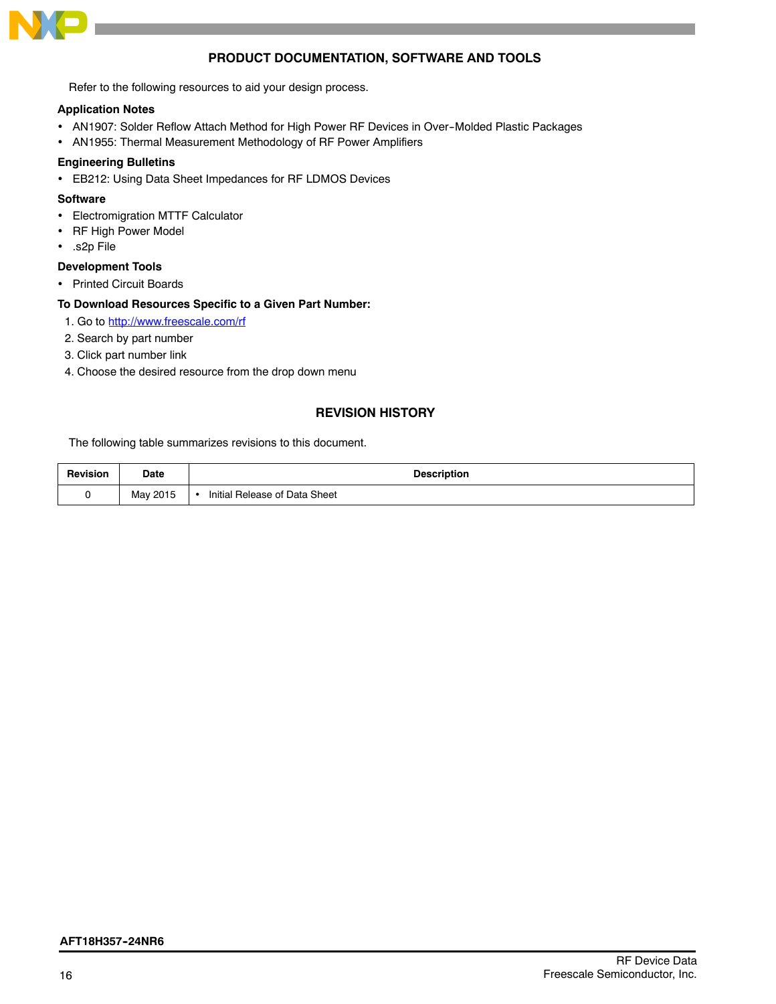

# **PRODUCT DOCUMENTATION, SOFTWARE AND TOOLS**

Refer to the following resources to aid your design process.

#### **Application Notes**

- AN1907: Solder Reflow Attach Method for High Power RF Devices in Over-Molded Plastic Packages
- AN1955: Thermal Measurement Methodology of RF Power Amplifiers

#### **Engineering Bulletins**

EB212: Using Data Sheet Impedances for RF LDMOS Devices

# **Software**

- Electromigration MTTF Calculator
- RF High Power Model
- .s2p File

#### **Development Tools**

• Printed Circuit Boards

#### **To Download Resources Specific to a Given Part Number:**

- 1. Go to http://www.freescale.com/rf
- 2. Search by part number
- 3. Click part number link
- 4. Choose the desired resource from the drop down menu

# **REVISION HISTORY**

The following table summarizes revisions to this document.

| <b>Revision</b> | Date<br>---- | <b>Description</b>            |
|-----------------|--------------|-------------------------------|
|                 | May 2015     | Initial Release of Data Sheet |